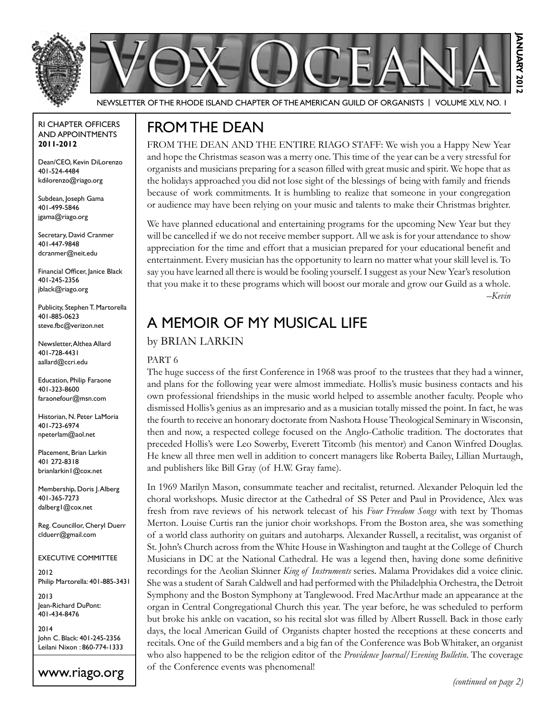

Newsletter of the Rhode Island Chapter of the American Guild of OrganistS | Volume XLV, No. 1

#### RI Chapter Officers and Appointments **2011-2012**

Dean/CEO, Kevin DiLorenzo 401-524-4484 kdilorenzo@riago.org

Subdean, Joseph Gama 401-499-5846 jgama@riago.org

Secretary, David Cranmer 401-447-9848 dcranmer@neit.edu

Financial Officer, Janice Black 401-245-2356 jblack@riago.org

Publicity, Stephen T. Martorella 401-885-0623 steve.fbc@verizon.net

Newsletter, Althea Allard 401-728-4431 aallard@ccri.edu

Education, Philip Faraone 401-323-8600 faraonefour@msn.com

Historian, N. Peter LaMoria 401-723-6974 npeterlam@aol.net

Placement, Brian Larkin 401 272-8318 brianlarkin1@cox.net

Membership, Doris J. Alberg 401-365-7273 dalberg1@cox.net

Reg. Councillor, Cheryl Duerr clduerr@gmail.com

#### Executive Committee

2012 Philip Martorella: 401-885-3431

2013 Jean-Richard DuPont: 401-434-8476

2014 John C. Black: 401-245-2356 Leilani Nixon : 860-774-1333

### www.riago.org

# From the Dean

FROM THE DEAN AND THE ENTIRE RIAGO STAFF: We wish you a Happy New Year and hope the Christmas season was a merry one. This time of the year can be a very stressful for organists and musicians preparing for a season filled with great music and spirit. We hope that as the holidays approached you did not lose sight of the blessings of being with family and friends because of work commitments. It is humbling to realize that someone in your congregation or audience may have been relying on your music and talents to make their Christmas brighter.

We have planned educational and entertaining programs for the upcoming New Year but they will be cancelled if we do not receive member support. All we ask is for your attendance to show appreciation for the time and effort that a musician prepared for your educational benefit and entertainment. Every musician has the opportunity to learn no matter what your skill level is. To say you have learned all there is would be fooling yourself. I suggest as your New Year's resolution that you make it to these programs which will boost our morale and grow our Guild as a whole. –*Kevin*

# A Memoir of My Musical Life

### by **BRIAN LARKIN**

#### PART 6

The huge success of the first Conference in 1968 was proof to the trustees that they had a winner, and plans for the following year were almost immediate. Hollis's music business contacts and his own professional friendships in the music world helped to assemble another faculty. People who dismissed Hollis's genius as an impresario and as a musician totally missed the point. In fact, he was the fourth to receive an honorary doctorate from Nashota House Theological Seminary in Wisconsin, then and now, a respected college focused on the Anglo-Catholic tradition. The doctorates that preceded Hollis's were Leo Sowerby, Everett Titcomb (his mentor) and Canon Winfred Douglas. He knew all three men well in addition to concert managers like Roberta Bailey, Lillian Murtaugh, and publishers like Bill Gray (of H.W. Gray fame).

In 1969 Marilyn Mason, consummate teacher and recitalist, returned. Alexander Peloquin led the choral workshops. Music director at the Cathedral of SS Peter and Paul in Providence, Alex was fresh from rave reviews of his network telecast of his *Four Freedom Songs* with text by Thomas Merton. Louise Curtis ran the junior choir workshops. From the Boston area, she was something of a world class authority on guitars and autoharps. Alexander Russell, a recitalist, was organist of St. John's Church across from the White House in Washington and taught at the College of Church Musicians in DC at the National Cathedral. He was a legend then, having done some definitive recordings for the Aeolian Skinner *King of Instruments* series. Malama Providakes did a voice clinic. She was a student of Sarah Caldwell and had performed with the Philadelphia Orchestra, the Detroit Symphony and the Boston Symphony at Tanglewood. Fred MacArthur made an appearance at the organ in Central Congregational Church this year. The year before, he was scheduled to perform but broke his ankle on vacation, so his recital slot was filled by Albert Russell. Back in those early days, the local American Guild of Organists chapter hosted the receptions at these concerts and recitals. One of the Guild members and a big fan of the Conference was Bob Whitaker, an organist who also happened to be the religion editor of the *Providence Journal/Evening Bulletin*. The coverage of the Conference events was phenomenal!